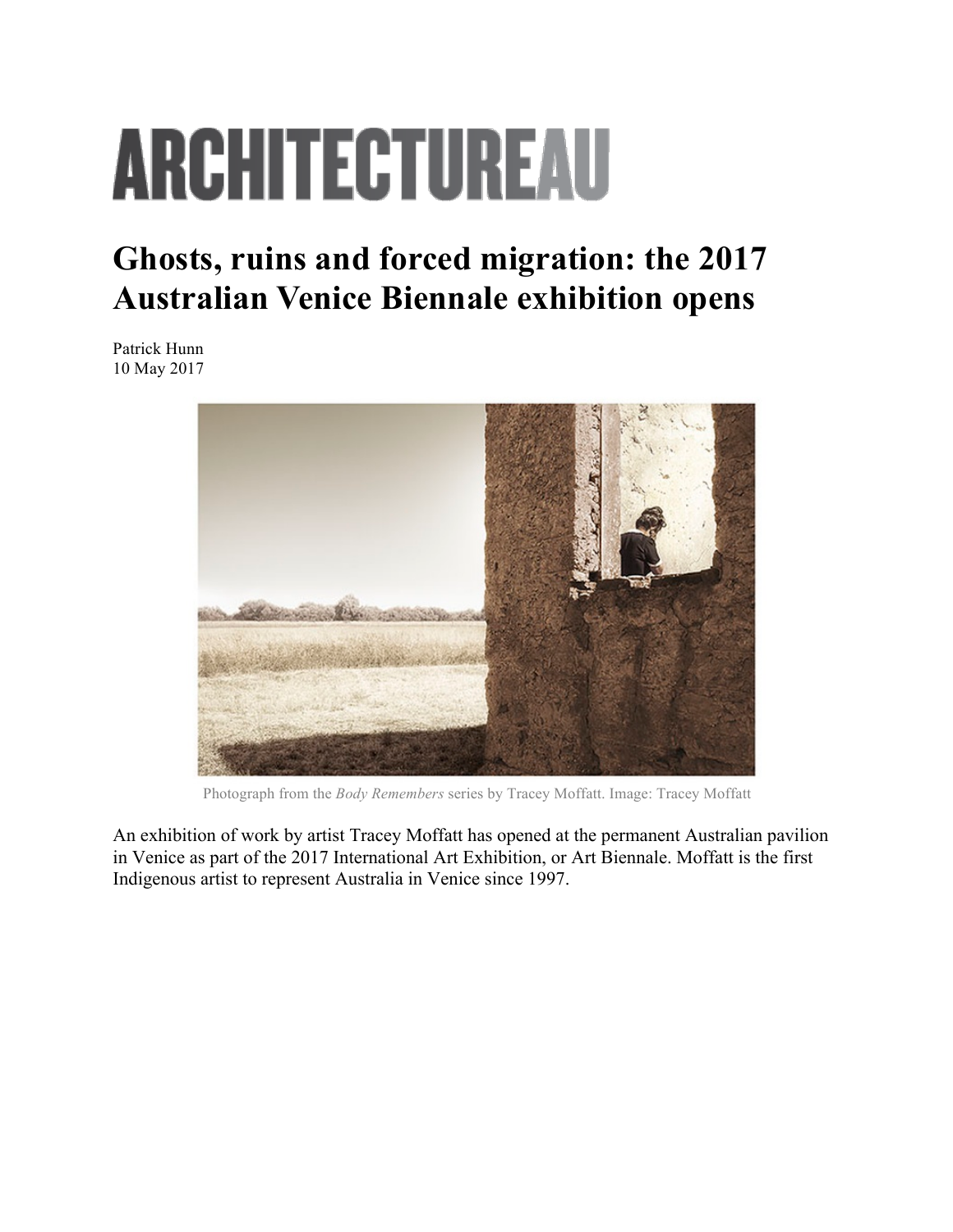## **ARCHITECTUREAU**

## **Ghosts, ruins and forced migration: the 2017 Australian Venice Biennale exhibition opens**

Patrick Hunn 10 May 2017



Photograph from the *Body Remembers* series by Tracey Moffatt. Image: Tracey Moffatt

An exhibition of work by artist Tracey Moffatt has opened at the permanent Australian pavilion in Venice as part of the 2017 International Art Exhibition, or Art Biennale. Moffatt is the first Indigenous artist to represent Australia in Venice since 1997.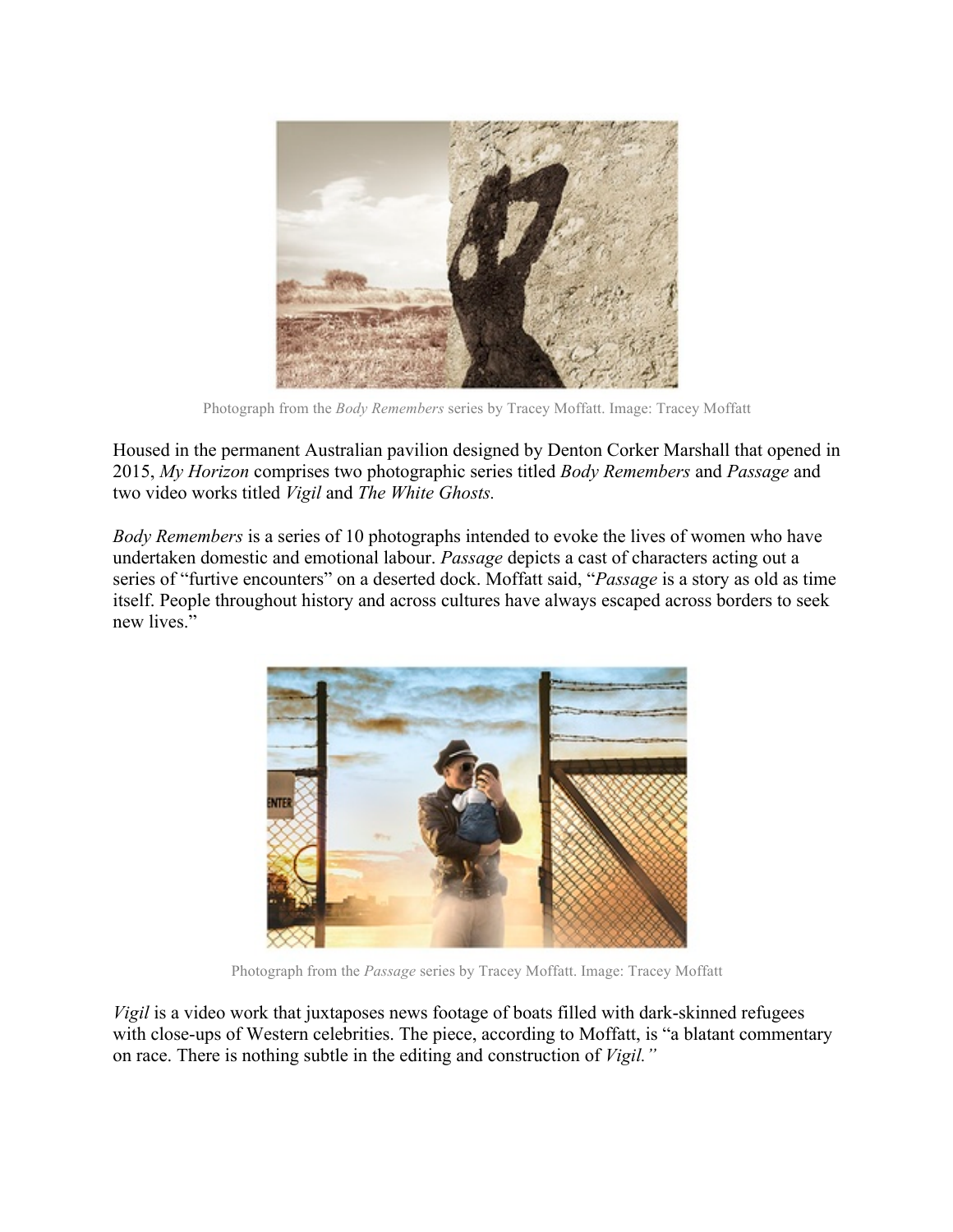

Photograph from the *Body Remembers* series by Tracey Moffatt. Image: Tracey Moffatt

Housed in the permanent Australian pavilion designed by Denton Corker Marshall that opened in 2015, *My Horizon* comprises two photographic series titled *Body Remembers* and *Passage* and two video works titled *Vigil* and *The White Ghosts.*

*Body Remembers* is a series of 10 photographs intended to evoke the lives of women who have undertaken domestic and emotional labour. *Passage* depicts a cast of characters acting out a series of "furtive encounters" on a deserted dock. Moffatt said, "*Passage* is a story as old as time itself. People throughout history and across cultures have always escaped across borders to seek new lives."



Photograph from the *Passage* series by Tracey Moffatt. Image: Tracey Moffatt

*Vigil* is a video work that juxtaposes news footage of boats filled with dark-skinned refugees with close-ups of Western celebrities. The piece, according to Moffatt, is "a blatant commentary on race. There is nothing subtle in the editing and construction of *Vigil."*